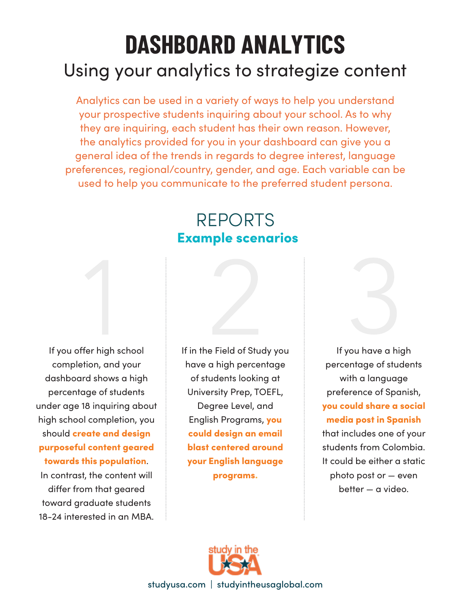## Using your analytics to strategize content **DASHBOARD ANALYTICS**

Analytics can be used in a variety of ways to help you understand your prospective students inquiring about your school. As to why they are inquiring, each student has their own reason. However, the analytics provided for you in your dashboard can give you a general idea of the trends in regards to degree interest, language preferences, regional/country, gender, and age. Each variable can be used to help you communicate to the preferred student persona.

## REPORTS Example scenarios

If you offer high school completion, and your dashboard shows a high percentage of students under age 18 inquiring about high school completion, you should create and design purposeful content geared towards this population.

In contrast, the content will differ from that geared toward graduate students 18-24 interested in an MBA. If in the Field of Study you have a high percentage of students looking at University Prep, TOEFL, Degree Level, and English Programs, you could design an email blast centered around your English language programs.



If you have a high percentage of students with a language preference of Spanish, you could share a social media post in Spanish that includes one of your students from Colombia. It could be either a static photo post or — even better — a video.



studyusa.com | studyintheusaglobal.com